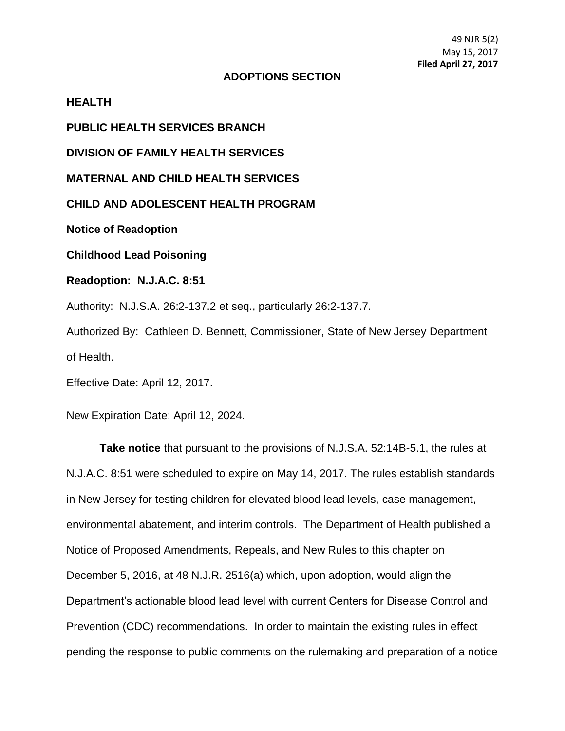## **ADOPTIONS SECTION**

## **HEALTH**

**PUBLIC HEALTH SERVICES BRANCH**

**DIVISION OF FAMILY HEALTH SERVICES**

**MATERNAL AND CHILD HEALTH SERVICES**

**CHILD AND ADOLESCENT HEALTH PROGRAM**

**Notice of Readoption** 

**Childhood Lead Poisoning**

**Readoption: N.J.A.C. 8:51**

Authority: N.J.S.A. 26:2-137.2 et seq., particularly 26:2-137.7.

Authorized By: Cathleen D. Bennett, Commissioner, State of New Jersey Department of Health.

Effective Date: April 12, 2017.

New Expiration Date: April 12, 2024.

**Take notice** that pursuant to the provisions of N.J.S.A. 52:14B-5.1, the rules at N.J.A.C. 8:51 were scheduled to expire on May 14, 2017. The rules establish standards in New Jersey for testing children for elevated blood lead levels, case management, environmental abatement, and interim controls. The Department of Health published a Notice of Proposed Amendments, Repeals, and New Rules to this chapter on December 5, 2016, at 48 N.J.R. 2516(a) which, upon adoption, would align the Department's actionable blood lead level with current Centers for Disease Control and Prevention (CDC) recommendations. In order to maintain the existing rules in effect pending the response to public comments on the rulemaking and preparation of a notice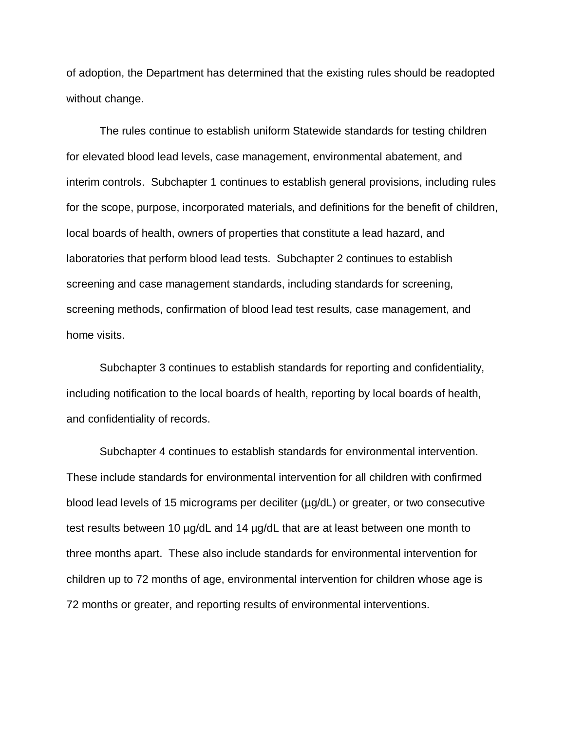of adoption, the Department has determined that the existing rules should be readopted without change.

The rules continue to establish uniform Statewide standards for testing children for elevated blood lead levels, case management, environmental abatement, and interim controls. Subchapter 1 continues to establish general provisions, including rules for the scope, purpose, incorporated materials, and definitions for the benefit of children, local boards of health, owners of properties that constitute a lead hazard, and laboratories that perform blood lead tests. Subchapter 2 continues to establish screening and case management standards, including standards for screening, screening methods, confirmation of blood lead test results, case management, and home visits.

Subchapter 3 continues to establish standards for reporting and confidentiality, including notification to the local boards of health, reporting by local boards of health, and confidentiality of records.

Subchapter 4 continues to establish standards for environmental intervention. These include standards for environmental intervention for all children with confirmed blood lead levels of 15 micrograms per deciliter ( $\mu$ g/dL) or greater, or two consecutive test results between 10 µg/dL and 14 µg/dL that are at least between one month to three months apart. These also include standards for environmental intervention for children up to 72 months of age, environmental intervention for children whose age is 72 months or greater, and reporting results of environmental interventions.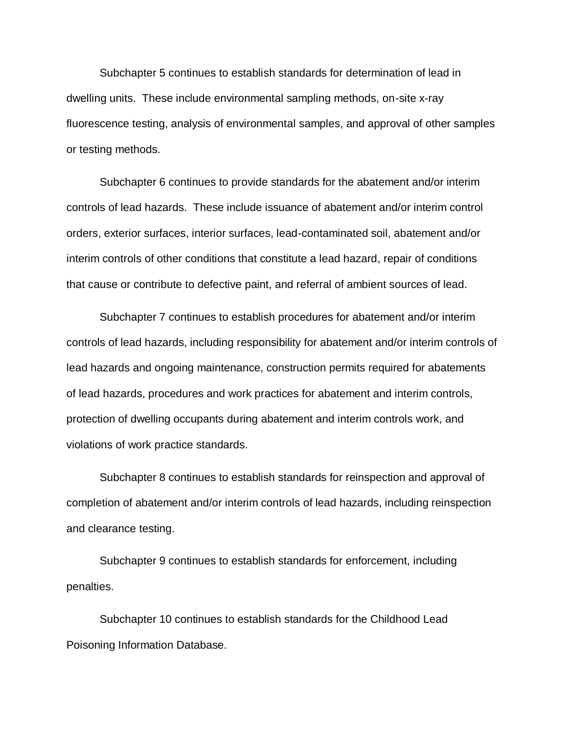Subchapter 5 continues to establish standards for determination of lead in dwelling units. These include environmental sampling methods, on-site x-ray fluorescence testing, analysis of environmental samples, and approval of other samples or testing methods.

Subchapter 6 continues to provide standards for the abatement and/or interim controls of lead hazards. These include issuance of abatement and/or interim control orders, exterior surfaces, interior surfaces, lead-contaminated soil, abatement and/or interim controls of other conditions that constitute a lead hazard, repair of conditions that cause or contribute to defective paint, and referral of ambient sources of lead.

Subchapter 7 continues to establish procedures for abatement and/or interim controls of lead hazards, including responsibility for abatement and/or interim controls of lead hazards and ongoing maintenance, construction permits required for abatements of lead hazards, procedures and work practices for abatement and interim controls, protection of dwelling occupants during abatement and interim controls work, and violations of work practice standards.

Subchapter 8 continues to establish standards for reinspection and approval of completion of abatement and/or interim controls of lead hazards, including reinspection and clearance testing.

Subchapter 9 continues to establish standards for enforcement, including penalties.

Subchapter 10 continues to establish standards for the Childhood Lead Poisoning Information Database.